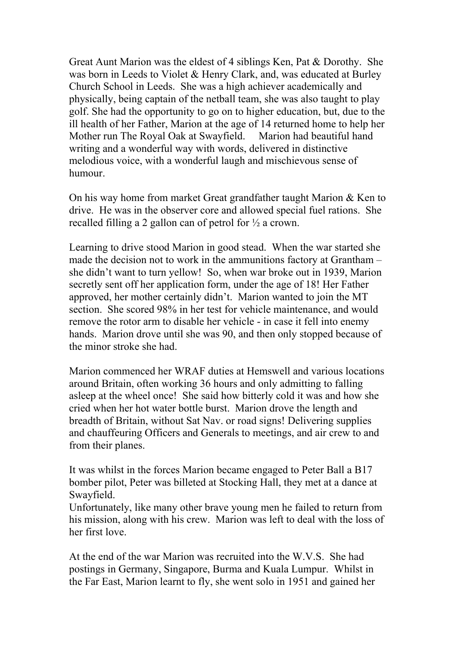Great Aunt Marion was the eldest of 4 siblings Ken, Pat & Dorothy. She was born in Leeds to Violet & Henry Clark, and, was educated at Burley Church School in Leeds. She was a high achiever academically and physically, being captain of the netball team, she was also taught to play golf. She had the opportunity to go on to higher education, but, due to the ill health of her Father, Marion at the age of 14 returned home to help her Mother run The Royal Oak at Swayfield. Marion had beautiful hand writing and a wonderful way with words, delivered in distinctive melodious voice, with a wonderful laugh and mischievous sense of humour.

On his way home from market Great grandfather taught Marion & Ken to drive. He was in the observer core and allowed special fuel rations. She recalled filling a 2 gallon can of petrol for ½ a crown.

Learning to drive stood Marion in good stead. When the war started she made the decision not to work in the ammunitions factory at Grantham – she didn't want to turn yellow! So, when war broke out in 1939, Marion secretly sent off her application form, under the age of 18! Her Father approved, her mother certainly didn't. Marion wanted to join the MT section. She scored 98% in her test for vehicle maintenance, and would remove the rotor arm to disable her vehicle - in case it fell into enemy hands. Marion drove until she was 90, and then only stopped because of the minor stroke she had.

Marion commenced her WRAF duties at Hemswell and various locations around Britain, often working 36 hours and only admitting to falling asleep at the wheel once! She said how bitterly cold it was and how she cried when her hot water bottle burst. Marion drove the length and breadth of Britain, without Sat Nav. or road signs! Delivering supplies and chauffeuring Officers and Generals to meetings, and air crew to and from their planes.

It was whilst in the forces Marion became engaged to Peter Ball a B17 bomber pilot, Peter was billeted at Stocking Hall, they met at a dance at Swayfield.

Unfortunately, like many other brave young men he failed to return from his mission, along with his crew. Marion was left to deal with the loss of her first love.

At the end of the war Marion was recruited into the W.V.S. She had postings in Germany, Singapore, Burma and Kuala Lumpur. Whilst in the Far East, Marion learnt to fly, she went solo in 1951 and gained her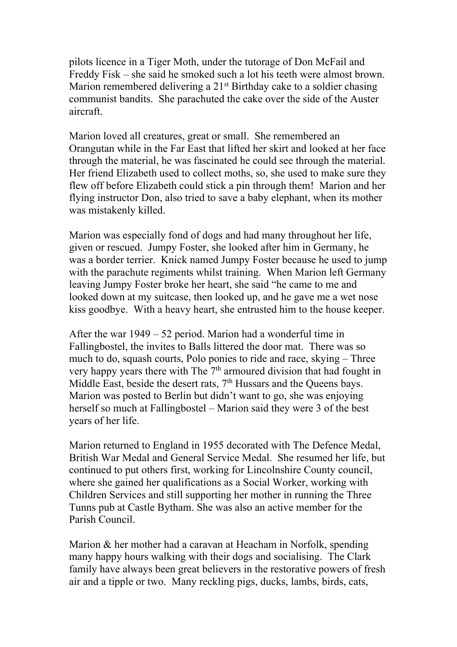pilots licence in a Tiger Moth, under the tutorage of Don McFail and Freddy Fisk – she said he smoked such a lot his teeth were almost brown. Marion remembered delivering a 21<sup>st</sup> Birthday cake to a soldier chasing communist bandits. She parachuted the cake over the side of the Auster aircraft.

Marion loved all creatures, great or small. She remembered an Orangutan while in the Far East that lifted her skirt and looked at her face through the material, he was fascinated he could see through the material. Her friend Elizabeth used to collect moths, so, she used to make sure they flew off before Elizabeth could stick a pin through them! Marion and her flying instructor Don, also tried to save a baby elephant, when its mother was mistakenly killed.

Marion was especially fond of dogs and had many throughout her life, given or rescued. Jumpy Foster, she looked after him in Germany, he was a border terrier. Knick named Jumpy Foster because he used to jump with the parachute regiments whilst training. When Marion left Germany leaving Jumpy Foster broke her heart, she said "he came to me and looked down at my suitcase, then looked up, and he gave me a wet nose kiss goodbye. With a heavy heart, she entrusted him to the house keeper.

After the war 1949 – 52 period. Marion had a wonderful time in Fallingbostel, the invites to Balls littered the door mat. There was so much to do, squash courts, Polo ponies to ride and race, skying – Three very happy years there with The  $7<sup>th</sup>$  armoured division that had fought in Middle East, beside the desert rats, 7<sup>th</sup> Hussars and the Queens bays. Marion was posted to Berlin but didn't want to go, she was enjoying herself so much at Fallingbostel – Marion said they were 3 of the best years of her life.

Marion returned to England in 1955 decorated with The Defence Medal, British War Medal and General Service Medal. She resumed her life, but continued to put others first, working for Lincolnshire County council, where she gained her qualifications as a Social Worker, working with Children Services and still supporting her mother in running the Three Tunns pub at Castle Bytham. She was also an active member for the Parish Council.

Marion & her mother had a caravan at Heacham in Norfolk, spending many happy hours walking with their dogs and socialising. The Clark family have always been great believers in the restorative powers of fresh air and a tipple or two. Many reckling pigs, ducks, lambs, birds, cats,